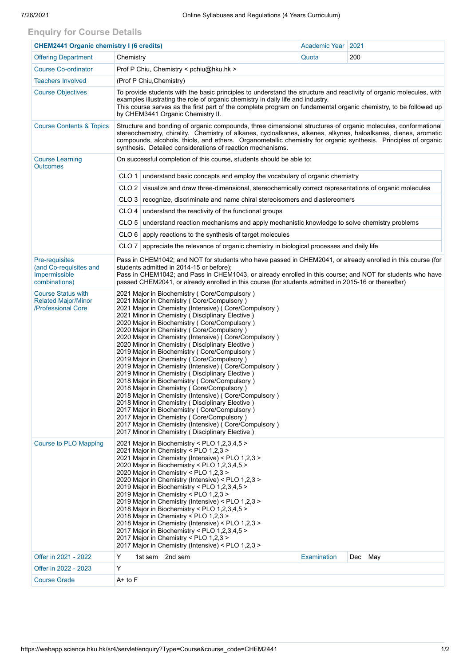## **Enquiry for Course Details**

| <b>CHEM2441 Organic chemistry I (6 credits)</b>                               |                                                                                                                                                                                                                                                                                                                                                                                                                                                                                                                                                                                                                                                                                                                                                                                                                                                                                                                                                                                                                                                   | Academic Year   2021 |         |  |  |  |  |  |  |
|-------------------------------------------------------------------------------|---------------------------------------------------------------------------------------------------------------------------------------------------------------------------------------------------------------------------------------------------------------------------------------------------------------------------------------------------------------------------------------------------------------------------------------------------------------------------------------------------------------------------------------------------------------------------------------------------------------------------------------------------------------------------------------------------------------------------------------------------------------------------------------------------------------------------------------------------------------------------------------------------------------------------------------------------------------------------------------------------------------------------------------------------|----------------------|---------|--|--|--|--|--|--|
| <b>Offering Department</b>                                                    | Chemistry                                                                                                                                                                                                                                                                                                                                                                                                                                                                                                                                                                                                                                                                                                                                                                                                                                                                                                                                                                                                                                         | Quota                | 200     |  |  |  |  |  |  |
| <b>Course Co-ordinator</b>                                                    | Prof P Chiu, Chemistry < pchiu@hku.hk >                                                                                                                                                                                                                                                                                                                                                                                                                                                                                                                                                                                                                                                                                                                                                                                                                                                                                                                                                                                                           |                      |         |  |  |  |  |  |  |
| <b>Teachers Involved</b>                                                      | (Prof P Chiu, Chemistry)                                                                                                                                                                                                                                                                                                                                                                                                                                                                                                                                                                                                                                                                                                                                                                                                                                                                                                                                                                                                                          |                      |         |  |  |  |  |  |  |
| <b>Course Objectives</b>                                                      | To provide students with the basic principles to understand the structure and reactivity of organic molecules, with<br>examples illustrating the role of organic chemistry in daily life and industry.<br>This course serves as the first part of the complete program on fundamental organic chemistry, to be followed up<br>by CHEM3441 Organic Chemistry II.                                                                                                                                                                                                                                                                                                                                                                                                                                                                                                                                                                                                                                                                                   |                      |         |  |  |  |  |  |  |
| <b>Course Contents &amp; Topics</b>                                           | Structure and bonding of organic compounds, three dimensional structures of organic molecules, conformational<br>stereochemistry, chirality. Chemistry of alkanes, cycloalkanes, alkenes, alkynes, haloalkanes, dienes, aromatic<br>compounds, alcohols, thiols, and ethers. Organometallic chemistry for organic synthesis. Principles of organic<br>synthesis. Detailed considerations of reaction mechanisms.                                                                                                                                                                                                                                                                                                                                                                                                                                                                                                                                                                                                                                  |                      |         |  |  |  |  |  |  |
| <b>Course Learning</b><br><b>Outcomes</b>                                     | On successful completion of this course, students should be able to:                                                                                                                                                                                                                                                                                                                                                                                                                                                                                                                                                                                                                                                                                                                                                                                                                                                                                                                                                                              |                      |         |  |  |  |  |  |  |
|                                                                               | CLO <sub>1</sub><br>understand basic concepts and employ the vocabulary of organic chemistry                                                                                                                                                                                                                                                                                                                                                                                                                                                                                                                                                                                                                                                                                                                                                                                                                                                                                                                                                      |                      |         |  |  |  |  |  |  |
|                                                                               | CLO 2 visualize and draw three-dimensional, stereochemically correct representations of organic molecules                                                                                                                                                                                                                                                                                                                                                                                                                                                                                                                                                                                                                                                                                                                                                                                                                                                                                                                                         |                      |         |  |  |  |  |  |  |
|                                                                               | CLO 3 recognize, discriminate and name chiral stereoisomers and diastereomers                                                                                                                                                                                                                                                                                                                                                                                                                                                                                                                                                                                                                                                                                                                                                                                                                                                                                                                                                                     |                      |         |  |  |  |  |  |  |
|                                                                               | $CLO$ 4 understand the reactivity of the functional groups                                                                                                                                                                                                                                                                                                                                                                                                                                                                                                                                                                                                                                                                                                                                                                                                                                                                                                                                                                                        |                      |         |  |  |  |  |  |  |
|                                                                               | understand reaction mechanisms and apply mechanistic knowledge to solve chemistry problems<br>CLO <sub>5</sub>                                                                                                                                                                                                                                                                                                                                                                                                                                                                                                                                                                                                                                                                                                                                                                                                                                                                                                                                    |                      |         |  |  |  |  |  |  |
|                                                                               | $CLO 6$ apply reactions to the synthesis of target molecules                                                                                                                                                                                                                                                                                                                                                                                                                                                                                                                                                                                                                                                                                                                                                                                                                                                                                                                                                                                      |                      |         |  |  |  |  |  |  |
|                                                                               | CLO <sub>7</sub><br>appreciate the relevance of organic chemistry in biological processes and daily life                                                                                                                                                                                                                                                                                                                                                                                                                                                                                                                                                                                                                                                                                                                                                                                                                                                                                                                                          |                      |         |  |  |  |  |  |  |
| Pre-requisites<br>(and Co-requisites and<br>Impermissible<br>combinations)    | Pass in CHEM1042; and NOT for students who have passed in CHEM2041, or already enrolled in this course (for<br>students admitted in 2014-15 or before);<br>Pass in CHEM1042; and Pass in CHEM1043, or already enrolled in this course; and NOT for students who have<br>passed CHEM2041, or already enrolled in this course (for students admitted in 2015-16 or thereafter)                                                                                                                                                                                                                                                                                                                                                                                                                                                                                                                                                                                                                                                                      |                      |         |  |  |  |  |  |  |
| <b>Course Status with</b><br><b>Related Major/Minor</b><br>/Professional Core | 2021 Major in Biochemistry (Core/Compulsory)<br>2021 Major in Chemistry (Core/Compulsory)<br>2021 Major in Chemistry (Intensive) (Core/Compulsory)<br>2021 Minor in Chemistry (Disciplinary Elective)<br>2020 Major in Biochemistry (Core/Compulsory)<br>2020 Major in Chemistry ( Core/Compulsory )<br>2020 Major in Chemistry (Intensive) ( Core/Compulsory )<br>2020 Minor in Chemistry (Disciplinary Elective)<br>2019 Major in Biochemistry (Core/Compulsory)<br>2019 Major in Chemistry (Core/Compulsory)<br>2019 Major in Chemistry (Intensive) ( Core/Compulsory )<br>2019 Minor in Chemistry (Disciplinary Elective)<br>2018 Major in Biochemistry (Core/Compulsory)<br>2018 Major in Chemistry (Core/Compulsory)<br>2018 Major in Chemistry (Intensive) ( Core/Compulsory )<br>2018 Minor in Chemistry (Disciplinary Elective)<br>2017 Major in Biochemistry (Core/Compulsory)<br>2017 Major in Chemistry (Core/Compulsory)<br>2017 Major in Chemistry (Intensive) (Core/Compulsory)<br>2017 Minor in Chemistry (Disciplinary Elective) |                      |         |  |  |  |  |  |  |
| <b>Course to PLO Mapping</b>                                                  | 2021 Major in Biochemistry < PLO 1,2,3,4,5 ><br>2021 Major in Chemistry < PLO 1,2,3 ><br>2021 Major in Chemistry (Intensive) < PLO 1,2,3 ><br>2020 Major in Biochemistry < PLO 1,2,3,4,5 ><br>2020 Maior in Chemistry < PLO 1.2.3 ><br>2020 Major in Chemistry (Intensive) < PLO 1,2,3 ><br>2019 Major in Biochemistry < PLO 1,2,3,4,5 ><br>2019 Major in Chemistry < PLO 1,2,3 ><br>2019 Major in Chemistry (Intensive) < PLO 1,2,3 ><br>2018 Major in Biochemistry < PLO 1,2,3,4,5 ><br>2018 Major in Chemistry < PLO 1,2,3 ><br>2018 Major in Chemistry (Intensive) < PLO 1,2,3 ><br>2017 Major in Biochemistry < PLO 1,2,3,4,5 ><br>2017 Major in Chemistry < PLO 1,2,3 ><br>2017 Major in Chemistry (Intensive) < PLO 1,2,3 >                                                                                                                                                                                                                                                                                                                |                      |         |  |  |  |  |  |  |
| Offer in 2021 - 2022                                                          | Y<br>1st sem 2nd sem                                                                                                                                                                                                                                                                                                                                                                                                                                                                                                                                                                                                                                                                                                                                                                                                                                                                                                                                                                                                                              | Examination          | Dec May |  |  |  |  |  |  |
| Offer in 2022 - 2023                                                          | Y                                                                                                                                                                                                                                                                                                                                                                                                                                                                                                                                                                                                                                                                                                                                                                                                                                                                                                                                                                                                                                                 |                      |         |  |  |  |  |  |  |
| <b>Course Grade</b>                                                           | $A+$ to $F$                                                                                                                                                                                                                                                                                                                                                                                                                                                                                                                                                                                                                                                                                                                                                                                                                                                                                                                                                                                                                                       |                      |         |  |  |  |  |  |  |